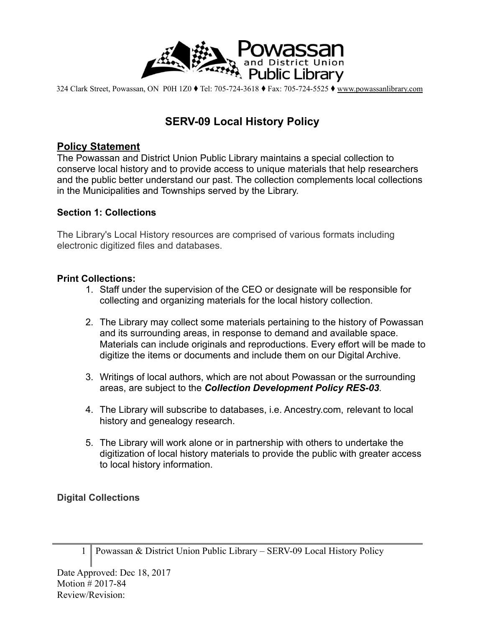

324 Clark Street, Powassan, ON P0H 1Z0 ⧫ Tel: 705-724-3618 ⧫ Fax: 705-724-5525 ⧫ [www.powassanlibrary.com](http://www.powassanlibrary.com)

# **SERV-09 Local History Policy**

## **Policy Statement**

The Powassan and District Union Public Library maintains a special collection to conserve local history and to provide access to unique materials that help researchers and the public better understand our past. The collection complements local collections in the Municipalities and Townships served by the Library.

#### **Section 1: Collections**

The Library's Local History resources are comprised of various formats including electronic digitized files and databases.

#### **Print Collections:**

- 1. Staff under the supervision of the CEO or designate will be responsible for collecting and organizing materials for the local history collection.
- 2. The Library may collect some materials pertaining to the history of Powassan and its surrounding areas, in response to demand and available space. Materials can include originals and reproductions. Every effort will be made to digitize the items or documents and include them on our Digital Archive.
- 3. Writings of local authors, which are not about Powassan or the surrounding areas, are subject to the *Collection Development Policy RES-03.*
- 4. The Library will subscribe to databases, i.e. Ancestry.com, relevant to local history and genealogy research.
- 5. The Library will work alone or in partnership with others to undertake the digitization of local history materials to provide the public with greater access to local history information.

### **Digital Collections**

1 Powassan & District Union Public Library – SERV-09 Local History Policy